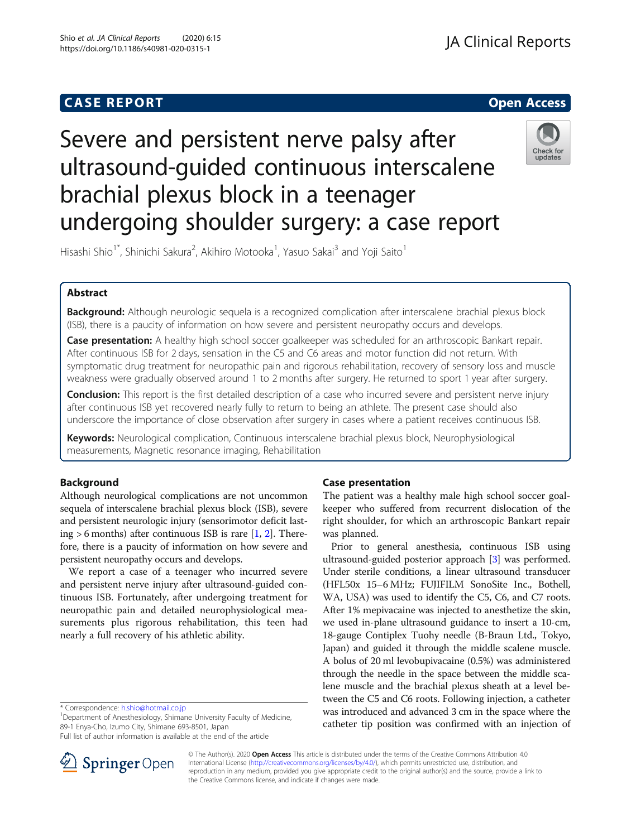# **CASE REPORT CASE REPORT CASE REPORT**

# Severe and persistent nerve palsy after ultrasound-guided continuous interscalene brachial plexus block in a teenager undergoing shoulder surgery: a case report



Hisashi Shio<sup>1\*</sup>, Shinichi Sakura<sup>2</sup>, Akihiro Motooka<sup>1</sup>, Yasuo Sakai<sup>3</sup> and Yoji Saito<sup>1</sup>

# Abstract

Background: Although neurologic sequela is a recognized complication after interscalene brachial plexus block (ISB), there is a paucity of information on how severe and persistent neuropathy occurs and develops.

Case presentation: A healthy high school soccer goalkeeper was scheduled for an arthroscopic Bankart repair. After continuous ISB for 2 days, sensation in the C5 and C6 areas and motor function did not return. With symptomatic drug treatment for neuropathic pain and rigorous rehabilitation, recovery of sensory loss and muscle weakness were gradually observed around 1 to 2 months after surgery. He returned to sport 1 year after surgery.

**Conclusion:** This report is the first detailed description of a case who incurred severe and persistent nerve injury after continuous ISB yet recovered nearly fully to return to being an athlete. The present case should also underscore the importance of close observation after surgery in cases where a patient receives continuous ISB.

Keywords: Neurological complication, Continuous interscalene brachial plexus block, Neurophysiological measurements, Magnetic resonance imaging, Rehabilitation

# Background

Although neurological complications are not uncommon sequela of interscalene brachial plexus block (ISB), severe and persistent neurologic injury (sensorimotor deficit lasting  $> 6$  months) after continuous ISB is rare [\[1,](#page-4-0) [2\]](#page-4-0). Therefore, there is a paucity of information on how severe and persistent neuropathy occurs and develops.

We report a case of a teenager who incurred severe and persistent nerve injury after ultrasound-guided continuous ISB. Fortunately, after undergoing treatment for neuropathic pain and detailed neurophysiological measurements plus rigorous rehabilitation, this teen had nearly a full recovery of his athletic ability.

<sup>1</sup>Department of Anesthesiology, Shimane University Faculty of Medicine, 89-1 Enya-Cho, Izumo City, Shimane 693-8501, Japan

Full list of author information is available at the end of the article



The patient was a healthy male high school soccer goalkeeper who suffered from recurrent dislocation of the right shoulder, for which an arthroscopic Bankart repair was planned.

Prior to general anesthesia, continuous ISB using ultrasound-guided posterior approach [[3\]](#page-4-0) was performed. Under sterile conditions, a linear ultrasound transducer (HFL50x 15–6 MHz; FUJIFILM SonoSite Inc., Bothell, WA, USA) was used to identify the C5, C6, and C7 roots. After 1% mepivacaine was injected to anesthetize the skin, we used in-plane ultrasound guidance to insert a 10-cm, 18-gauge Contiplex Tuohy needle (B-Braun Ltd., Tokyo, Japan) and guided it through the middle scalene muscle. A bolus of 20 ml levobupivacaine (0.5%) was administered through the needle in the space between the middle scalene muscle and the brachial plexus sheath at a level between the C5 and C6 roots. Following injection, a catheter was introduced and advanced 3 cm in the space where the catheter tip position was confirmed with an injection of



© The Author(s). 2020 Open Access This article is distributed under the terms of the Creative Commons Attribution 4.0 International License ([http://creativecommons.org/licenses/by/4.0/\)](http://creativecommons.org/licenses/by/4.0/), which permits unrestricted use, distribution, and reproduction in any medium, provided you give appropriate credit to the original author(s) and the source, provide a link to the Creative Commons license, and indicate if changes were made.

<sup>\*</sup> Correspondence: [h.shio@hotmail.co.jp](mailto:h.shio@hotmail.co.jp) <sup>1</sup>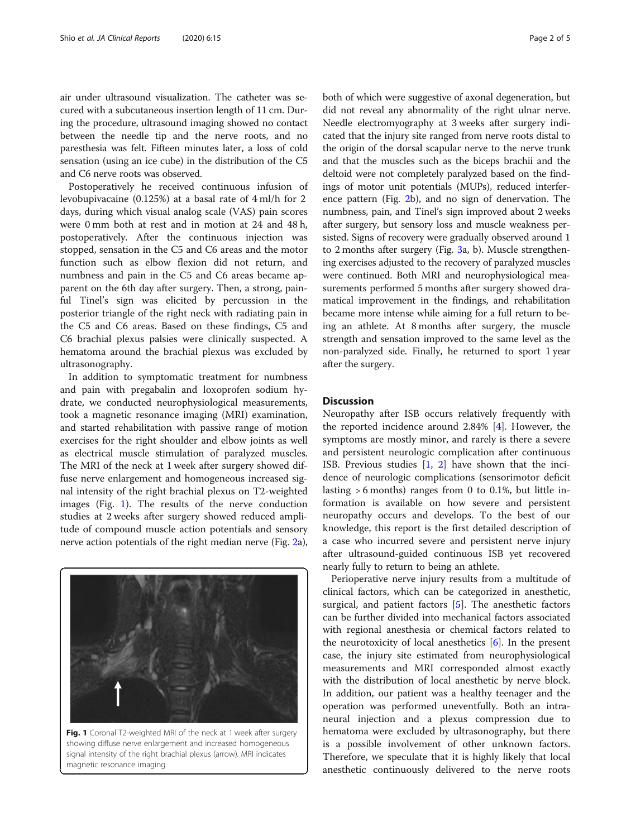air under ultrasound visualization. The catheter was secured with a subcutaneous insertion length of 11 cm. During the procedure, ultrasound imaging showed no contact between the needle tip and the nerve roots, and no paresthesia was felt. Fifteen minutes later, a loss of cold sensation (using an ice cube) in the distribution of the C5 and C6 nerve roots was observed.

Postoperatively he received continuous infusion of levobupivacaine (0.125%) at a basal rate of 4 ml/h for 2 days, during which visual analog scale (VAS) pain scores were 0 mm both at rest and in motion at 24 and 48 h, postoperatively. After the continuous injection was stopped, sensation in the C5 and C6 areas and the motor function such as elbow flexion did not return, and numbness and pain in the C5 and C6 areas became apparent on the 6th day after surgery. Then, a strong, painful Tinel's sign was elicited by percussion in the posterior triangle of the right neck with radiating pain in the C5 and C6 areas. Based on these findings, C5 and C6 brachial plexus palsies were clinically suspected. A hematoma around the brachial plexus was excluded by ultrasonography.

In addition to symptomatic treatment for numbness and pain with pregabalin and loxoprofen sodium hydrate, we conducted neurophysiological measurements, took a magnetic resonance imaging (MRI) examination, and started rehabilitation with passive range of motion exercises for the right shoulder and elbow joints as well as electrical muscle stimulation of paralyzed muscles. The MRI of the neck at 1 week after surgery showed diffuse nerve enlargement and homogeneous increased signal intensity of the right brachial plexus on T2-weighted images (Fig. 1). The results of the nerve conduction studies at 2 weeks after surgery showed reduced amplitude of compound muscle action potentials and sensory nerve action potentials of the right median nerve (Fig. [2](#page-2-0)a),



Fig. 1 Coronal T2-weighted MRI of the neck at 1 week after surgery showing diffuse nerve enlargement and increased homogeneous signal intensity of the right brachial plexus (arrow). MRI indicates magnetic resonance imaging

both of which were suggestive of axonal degeneration, but did not reveal any abnormality of the right ulnar nerve. Needle electromyography at 3 weeks after surgery indicated that the injury site ranged from nerve roots distal to the origin of the dorsal scapular nerve to the nerve trunk and that the muscles such as the biceps brachii and the deltoid were not completely paralyzed based on the findings of motor unit potentials (MUPs), reduced interference pattern (Fig. [2](#page-2-0)b), and no sign of denervation. The numbness, pain, and Tinel's sign improved about 2 weeks after surgery, but sensory loss and muscle weakness persisted. Signs of recovery were gradually observed around 1 to 2 months after surgery (Fig. [3a](#page-3-0), b). Muscle strengthening exercises adjusted to the recovery of paralyzed muscles were continued. Both MRI and neurophysiological measurements performed 5 months after surgery showed dramatical improvement in the findings, and rehabilitation became more intense while aiming for a full return to being an athlete. At 8 months after surgery, the muscle strength and sensation improved to the same level as the non-paralyzed side. Finally, he returned to sport 1 year after the surgery.

#### **Discussion**

Neuropathy after ISB occurs relatively frequently with the reported incidence around 2.84% [\[4](#page-4-0)]. However, the symptoms are mostly minor, and rarely is there a severe and persistent neurologic complication after continuous ISB. Previous studies  $\begin{bmatrix} 1 \\ 2 \end{bmatrix}$  have shown that the incidence of neurologic complications (sensorimotor deficit lasting > 6 months) ranges from 0 to 0.1%, but little information is available on how severe and persistent neuropathy occurs and develops. To the best of our knowledge, this report is the first detailed description of a case who incurred severe and persistent nerve injury after ultrasound-guided continuous ISB yet recovered nearly fully to return to being an athlete.

Perioperative nerve injury results from a multitude of clinical factors, which can be categorized in anesthetic, surgical, and patient factors [\[5](#page-4-0)]. The anesthetic factors can be further divided into mechanical factors associated with regional anesthesia or chemical factors related to the neurotoxicity of local anesthetics [\[6](#page-4-0)]. In the present case, the injury site estimated from neurophysiological measurements and MRI corresponded almost exactly with the distribution of local anesthetic by nerve block. In addition, our patient was a healthy teenager and the operation was performed uneventfully. Both an intraneural injection and a plexus compression due to hematoma were excluded by ultrasonography, but there is a possible involvement of other unknown factors. Therefore, we speculate that it is highly likely that local anesthetic continuously delivered to the nerve roots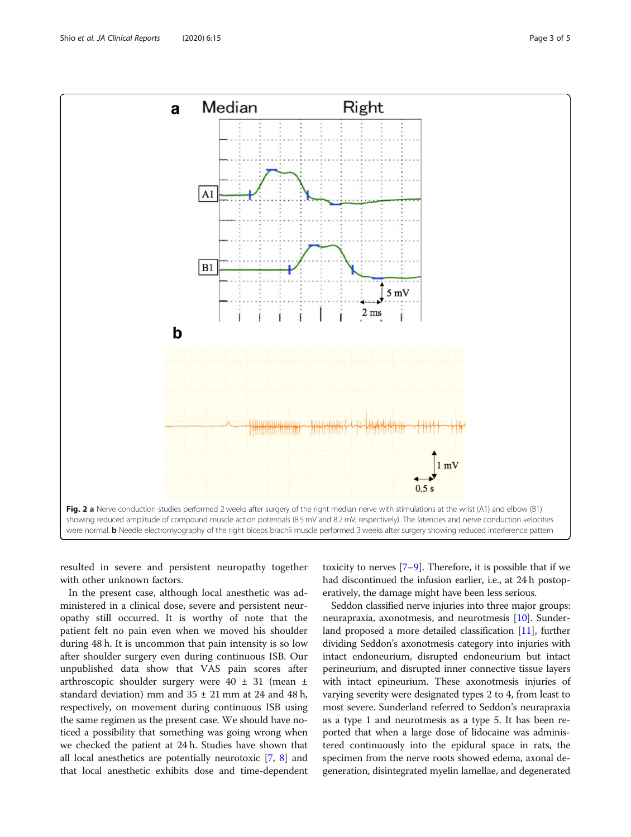<span id="page-2-0"></span>

resulted in severe and persistent neuropathy together with other unknown factors.

In the present case, although local anesthetic was administered in a clinical dose, severe and persistent neuropathy still occurred. It is worthy of note that the patient felt no pain even when we moved his shoulder during 48 h. It is uncommon that pain intensity is so low after shoulder surgery even during continuous ISB. Our unpublished data show that VAS pain scores after arthroscopic shoulder surgery were  $40 \pm 31$  (mean  $\pm$ standard deviation) mm and  $35 \pm 21$  mm at 24 and 48 h, respectively, on movement during continuous ISB using the same regimen as the present case. We should have noticed a possibility that something was going wrong when we checked the patient at 24 h. Studies have shown that all local anesthetics are potentially neurotoxic [[7,](#page-4-0) [8\]](#page-4-0) and that local anesthetic exhibits dose and time-dependent

toxicity to nerves  $[7-9]$  $[7-9]$  $[7-9]$  $[7-9]$  $[7-9]$ . Therefore, it is possible that if we had discontinued the infusion earlier, i.e., at 24 h postoperatively, the damage might have been less serious.

Seddon classified nerve injuries into three major groups: neurapraxia, axonotmesis, and neurotmesis [[10\]](#page-4-0). Sunderland proposed a more detailed classification [\[11\]](#page-4-0), further dividing Seddon's axonotmesis category into injuries with intact endoneurium, disrupted endoneurium but intact perineurium, and disrupted inner connective tissue layers with intact epineurium. These axonotmesis injuries of varying severity were designated types 2 to 4, from least to most severe. Sunderland referred to Seddon's neurapraxia as a type 1 and neurotmesis as a type 5. It has been reported that when a large dose of lidocaine was administered continuously into the epidural space in rats, the specimen from the nerve roots showed edema, axonal degeneration, disintegrated myelin lamellae, and degenerated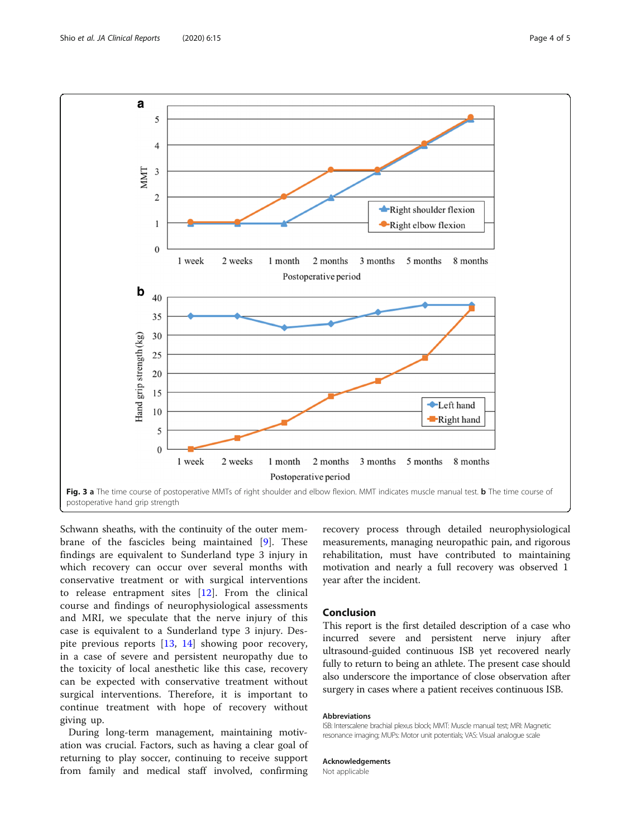<span id="page-3-0"></span>

Schwann sheaths, with the continuity of the outer membrane of the fascicles being maintained [\[9](#page-4-0)]. These findings are equivalent to Sunderland type 3 injury in which recovery can occur over several months with conservative treatment or with surgical interventions to release entrapment sites [[12\]](#page-4-0). From the clinical course and findings of neurophysiological assessments and MRI, we speculate that the nerve injury of this case is equivalent to a Sunderland type 3 injury. Despite previous reports [[13,](#page-4-0) [14\]](#page-4-0) showing poor recovery, in a case of severe and persistent neuropathy due to the toxicity of local anesthetic like this case, recovery can be expected with conservative treatment without surgical interventions. Therefore, it is important to continue treatment with hope of recovery without giving up.

During long-term management, maintaining motivation was crucial. Factors, such as having a clear goal of returning to play soccer, continuing to receive support from family and medical staff involved, confirming

recovery process through detailed neurophysiological measurements, managing neuropathic pain, and rigorous rehabilitation, must have contributed to maintaining motivation and nearly a full recovery was observed 1 year after the incident.

### Conclusion

This report is the first detailed description of a case who incurred severe and persistent nerve injury after ultrasound-guided continuous ISB yet recovered nearly fully to return to being an athlete. The present case should also underscore the importance of close observation after surgery in cases where a patient receives continuous ISB.

#### Abbreviations

ISB: Interscalene brachial plexus block; MMT: Muscle manual test; MRI: Magnetic resonance imaging; MUPs: Motor unit potentials; VAS: Visual analogue scale

#### Acknowledgements

Not applicable